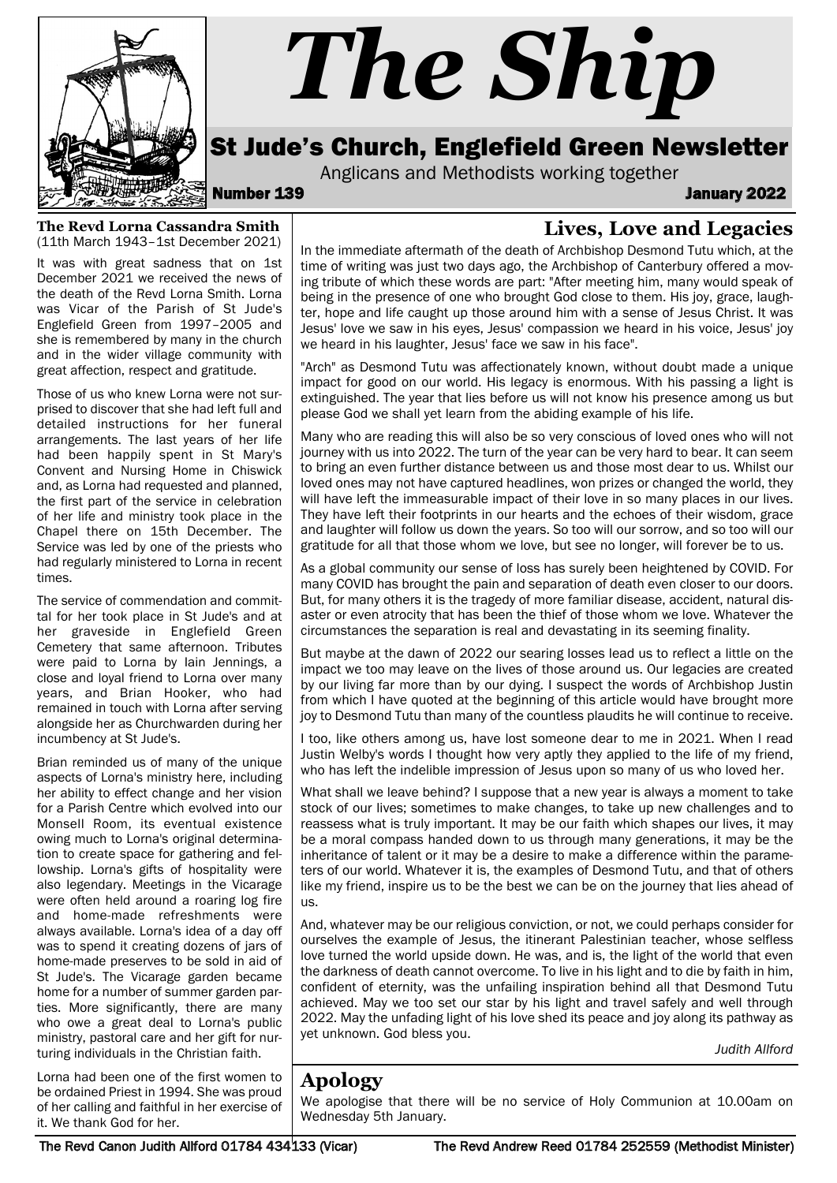

# *The Ship*

## St Jude's Church, Englefield Green Newsletter

Anglicans and Methodists working together<br>January 2022

## **Lives, Love and Legacies**

**The Revd Lorna Cassandra Smith**  (11th March 1943–1st December 2021)

It was with great sadness that on 1st December 2021 we received the news of the death of the Revd Lorna Smith. Lorna was Vicar of the Parish of St Jude's Englefield Green from 1997–2005 and she is remembered by many in the church and in the wider village community with great affection, respect and gratitude.

Those of us who knew Lorna were not surprised to discover that she had left full and detailed instructions for her funeral arrangements. The last years of her life had been happily spent in St Mary's Convent and Nursing Home in Chiswick and, as Lorna had requested and planned, the first part of the service in celebration of her life and ministry took place in the Chapel there on 15th December. The Service was led by one of the priests who had regularly ministered to Lorna in recent times.

The service of commendation and committal for her took place in St Jude's and at her graveside in Englefield Green Cemetery that same afternoon. Tributes were paid to Lorna by Iain Jennings, a close and loyal friend to Lorna over many years, and Brian Hooker, who had remained in touch with Lorna after serving alongside her as Churchwarden during her incumbency at St Jude's.

Brian reminded us of many of the unique aspects of Lorna's ministry here, including her ability to effect change and her vision for a Parish Centre which evolved into our Monsell Room, its eventual existence owing much to Lorna's original determination to create space for gathering and fellowship. Lorna's gifts of hospitality were also legendary. Meetings in the Vicarage were often held around a roaring log fire and home-made refreshments were always available. Lorna's idea of a day off was to spend it creating dozens of jars of home-made preserves to be sold in aid of St Jude's. The Vicarage garden became home for a number of summer garden parties. More significantly, there are many who owe a great deal to Lorna's public ministry, pastoral care and her gift for nurturing individuals in the Christian faith.

Lorna had been one of the first women to be ordained Priest in 1994. She was proud of her calling and faithful in her exercise of it. We thank God for her.

In the immediate aftermath of the death of Archbishop Desmond Tutu which, at the time of writing was just two days ago, the Archbishop of Canterbury offered a moving tribute of which these words are part: "After meeting him, many would speak of being in the presence of one who brought God close to them. His joy, grace, laughter, hope and life caught up those around him with a sense of Jesus Christ. It was Jesus' love we saw in his eyes, Jesus' compassion we heard in his voice, Jesus' joy we heard in his laughter, Jesus' face we saw in his face".

"Arch" as Desmond Tutu was affectionately known, without doubt made a unique impact for good on our world. His legacy is enormous. With his passing a light is extinguished. The year that lies before us will not know his presence among us but please God we shall yet learn from the abiding example of his life.

Many who are reading this will also be so very conscious of loved ones who will not journey with us into 2022. The turn of the year can be very hard to bear. It can seem to bring an even further distance between us and those most dear to us. Whilst our loved ones may not have captured headlines, won prizes or changed the world, they will have left the immeasurable impact of their love in so many places in our lives. They have left their footprints in our hearts and the echoes of their wisdom, grace and laughter will follow us down the years. So too will our sorrow, and so too will our gratitude for all that those whom we love, but see no longer, will forever be to us.

As a global community our sense of loss has surely been heightened by COVID. For many COVID has brought the pain and separation of death even closer to our doors. But, for many others it is the tragedy of more familiar disease, accident, natural disaster or even atrocity that has been the thief of those whom we love. Whatever the circumstances the separation is real and devastating in its seeming finality.

But maybe at the dawn of 2022 our searing losses lead us to reflect a little on the impact we too may leave on the lives of those around us. Our legacies are created by our living far more than by our dying. I suspect the words of Archbishop Justin from which I have quoted at the beginning of this article would have brought more joy to Desmond Tutu than many of the countless plaudits he will continue to receive.

I too, like others among us, have lost someone dear to me in 2021. When I read Justin Welby's words I thought how very aptly they applied to the life of my friend, who has left the indelible impression of Jesus upon so many of us who loved her.

What shall we leave behind? I suppose that a new year is always a moment to take stock of our lives; sometimes to make changes, to take up new challenges and to reassess what is truly important. It may be our faith which shapes our lives, it may be a moral compass handed down to us through many generations, it may be the inheritance of talent or it may be a desire to make a difference within the parameters of our world. Whatever it is, the examples of Desmond Tutu, and that of others like my friend, inspire us to be the best we can be on the journey that lies ahead of us.

And, whatever may be our religious conviction, or not, we could perhaps consider for ourselves the example of Jesus, the itinerant Palestinian teacher, whose selfless love turned the world upside down. He was, and is, the light of the world that even the darkness of death cannot overcome. To live in his light and to die by faith in him, confident of eternity, was the unfailing inspiration behind all that Desmond Tutu achieved. May we too set our star by his light and travel safely and well through 2022. May the unfading light of his love shed its peace and joy along its pathway as yet unknown. God bless you.

*Judith Allford*

#### **Apology**

We apologise that there will be no service of Holy Communion at 10.00am on Wednesday 5th January.